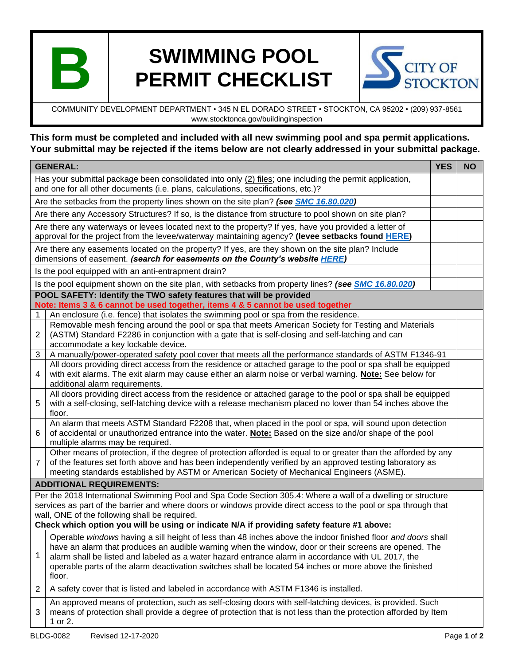

## **SWIMMING POOL PERMIT CHECKLIST**



COMMUNITY DEVELOPMENT DEPARTMENT • 345 N EL DORADO STREET • STOCKTON, CA 95202 • (209) 937-8561 www.stocktonca.gov/buildinginspection

## **This form must be completed and included with all new swimming pool and spa permit applications. Your submittal may be rejected if the items below are not clearly addressed in your submittal package.**

| <b>GENERAL:</b>                                                                                                                                                                                                                                                                                                                                                                 |                                                                                                                                                                                                                                                                                                                                                                                                                                                  | <b>YES</b> | <b>NO</b> |
|---------------------------------------------------------------------------------------------------------------------------------------------------------------------------------------------------------------------------------------------------------------------------------------------------------------------------------------------------------------------------------|--------------------------------------------------------------------------------------------------------------------------------------------------------------------------------------------------------------------------------------------------------------------------------------------------------------------------------------------------------------------------------------------------------------------------------------------------|------------|-----------|
| Has your submittal package been consolidated into only $(2)$ files; one including the permit application,<br>and one for all other documents (i.e. plans, calculations, specifications, etc.)?                                                                                                                                                                                  |                                                                                                                                                                                                                                                                                                                                                                                                                                                  |            |           |
| Are the setbacks from the property lines shown on the site plan? (see SMC 16.80.020)                                                                                                                                                                                                                                                                                            |                                                                                                                                                                                                                                                                                                                                                                                                                                                  |            |           |
| Are there any Accessory Structures? If so, is the distance from structure to pool shown on site plan?                                                                                                                                                                                                                                                                           |                                                                                                                                                                                                                                                                                                                                                                                                                                                  |            |           |
| Are there any waterways or levees located next to the property? If yes, have you provided a letter of<br>approval for the project from the levee/waterway maintaining agency? (levee setbacks found HERE)                                                                                                                                                                       |                                                                                                                                                                                                                                                                                                                                                                                                                                                  |            |           |
| Are there any easements located on the property? If yes, are they shown on the site plan? Include<br>dimensions of easement. (search for easements on the County's website HERE)                                                                                                                                                                                                |                                                                                                                                                                                                                                                                                                                                                                                                                                                  |            |           |
|                                                                                                                                                                                                                                                                                                                                                                                 | Is the pool equipped with an anti-entrapment drain?                                                                                                                                                                                                                                                                                                                                                                                              |            |           |
| Is the pool equipment shown on the site plan, with setbacks from property lines? (see SMC 16.80.020)                                                                                                                                                                                                                                                                            |                                                                                                                                                                                                                                                                                                                                                                                                                                                  |            |           |
| POOL SAFETY: Identify the TWO safety features that will be provided<br>Note: Items 3 & 6 cannot be used together, items 4 & 5 cannot be used together                                                                                                                                                                                                                           |                                                                                                                                                                                                                                                                                                                                                                                                                                                  |            |           |
| 1                                                                                                                                                                                                                                                                                                                                                                               | An enclosure (i.e. fence) that isolates the swimming pool or spa from the residence.                                                                                                                                                                                                                                                                                                                                                             |            |           |
| $\overline{c}$                                                                                                                                                                                                                                                                                                                                                                  | Removable mesh fencing around the pool or spa that meets American Society for Testing and Materials<br>(ASTM) Standard F2286 in conjunction with a gate that is self-closing and self-latching and can<br>accommodate a key lockable device.                                                                                                                                                                                                     |            |           |
| $\sqrt{3}$                                                                                                                                                                                                                                                                                                                                                                      | A manually/power-operated safety pool cover that meets all the performance standards of ASTM F1346-91                                                                                                                                                                                                                                                                                                                                            |            |           |
| 4                                                                                                                                                                                                                                                                                                                                                                               | All doors providing direct access from the residence or attached garage to the pool or spa shall be equipped<br>with exit alarms. The exit alarm may cause either an alarm noise or verbal warning. <b>Note:</b> See below for<br>additional alarm requirements.                                                                                                                                                                                 |            |           |
| 5                                                                                                                                                                                                                                                                                                                                                                               | All doors providing direct access from the residence or attached garage to the pool or spa shall be equipped<br>with a self-closing, self-latching device with a release mechanism placed no lower than 54 inches above the<br>floor.                                                                                                                                                                                                            |            |           |
| 6                                                                                                                                                                                                                                                                                                                                                                               | An alarm that meets ASTM Standard F2208 that, when placed in the pool or spa, will sound upon detection<br>of accidental or unauthorized entrance into the water. Note: Based on the size and/or shape of the pool<br>multiple alarms may be required.                                                                                                                                                                                           |            |           |
| $\overline{7}$                                                                                                                                                                                                                                                                                                                                                                  | Other means of protection, if the degree of protection afforded is equal to or greater than the afforded by any<br>of the features set forth above and has been independently verified by an approved testing laboratory as<br>meeting standards established by ASTM or American Society of Mechanical Engineers (ASME).                                                                                                                         |            |           |
| <b>ADDITIONAL REQUIREMENTS:</b>                                                                                                                                                                                                                                                                                                                                                 |                                                                                                                                                                                                                                                                                                                                                                                                                                                  |            |           |
| Per the 2018 International Swimming Pool and Spa Code Section 305.4: Where a wall of a dwelling or structure<br>services as part of the barrier and where doors or windows provide direct access to the pool or spa through that<br>wall, ONE of the following shall be required.<br>Check which option you will be using or indicate N/A if providing safety feature #1 above: |                                                                                                                                                                                                                                                                                                                                                                                                                                                  |            |           |
| 1                                                                                                                                                                                                                                                                                                                                                                               | Operable windows having a sill height of less than 48 inches above the indoor finished floor and doors shall<br>have an alarm that produces an audible warning when the window, door or their screens are opened. The<br>alarm shall be listed and labeled as a water hazard entrance alarm in accordance with UL 2017, the<br>operable parts of the alarm deactivation switches shall be located 54 inches or more above the finished<br>floor. |            |           |
| 2                                                                                                                                                                                                                                                                                                                                                                               | A safety cover that is listed and labeled in accordance with ASTM F1346 is installed.                                                                                                                                                                                                                                                                                                                                                            |            |           |
| 3                                                                                                                                                                                                                                                                                                                                                                               | An approved means of protection, such as self-closing doors with self-latching devices, is provided. Such<br>means of protection shall provide a degree of protection that is not less than the protection afforded by Item<br>1 or 2.                                                                                                                                                                                                           |            |           |